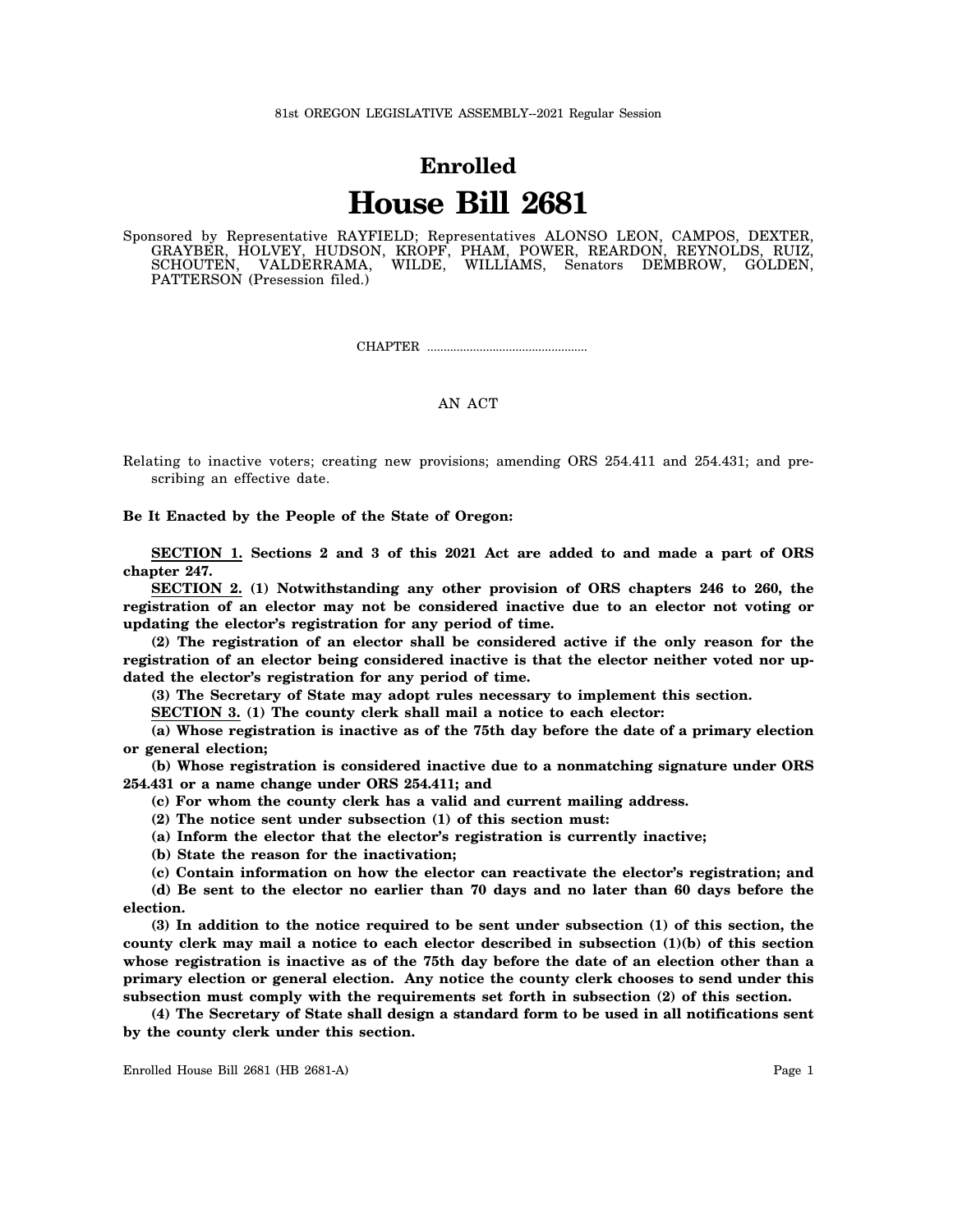## **Enrolled House Bill 2681**

Sponsored by Representative RAYFIELD; Representatives ALONSO LEON, CAMPOS, DEXTER, GRAYBER, HOLVEY, HUDSON, KROPF, PHAM, POWER, REARDON, REYNOLDS, RUIZ, SCHOUTEN, VALDERRAMA, WILDE, WILLIAMS, Senators DEMBROW, GOLDEN, PATTERSON (Presession filed.)

CHAPTER .................................................

## AN ACT

Relating to inactive voters; creating new provisions; amending ORS 254.411 and 254.431; and prescribing an effective date.

**Be It Enacted by the People of the State of Oregon:**

**SECTION 1. Sections 2 and 3 of this 2021 Act are added to and made a part of ORS chapter 247.**

**SECTION 2. (1) Notwithstanding any other provision of ORS chapters 246 to 260, the registration of an elector may not be considered inactive due to an elector not voting or updating the elector's registration for any period of time.**

**(2) The registration of an elector shall be considered active if the only reason for the registration of an elector being considered inactive is that the elector neither voted nor updated the elector's registration for any period of time.**

**(3) The Secretary of State may adopt rules necessary to implement this section.**

**SECTION 3. (1) The county clerk shall mail a notice to each elector:**

**(a) Whose registration is inactive as of the 75th day before the date of a primary election or general election;**

**(b) Whose registration is considered inactive due to a nonmatching signature under ORS 254.431 or a name change under ORS 254.411; and**

**(c) For whom the county clerk has a valid and current mailing address.**

**(2) The notice sent under subsection (1) of this section must:**

**(a) Inform the elector that the elector's registration is currently inactive;**

**(b) State the reason for the inactivation;**

**(c) Contain information on how the elector can reactivate the elector's registration; and**

**(d) Be sent to the elector no earlier than 70 days and no later than 60 days before the election.**

**(3) In addition to the notice required to be sent under subsection (1) of this section, the county clerk may mail a notice to each elector described in subsection (1)(b) of this section whose registration is inactive as of the 75th day before the date of an election other than a primary election or general election. Any notice the county clerk chooses to send under this subsection must comply with the requirements set forth in subsection (2) of this section.**

**(4) The Secretary of State shall design a standard form to be used in all notifications sent by the county clerk under this section.**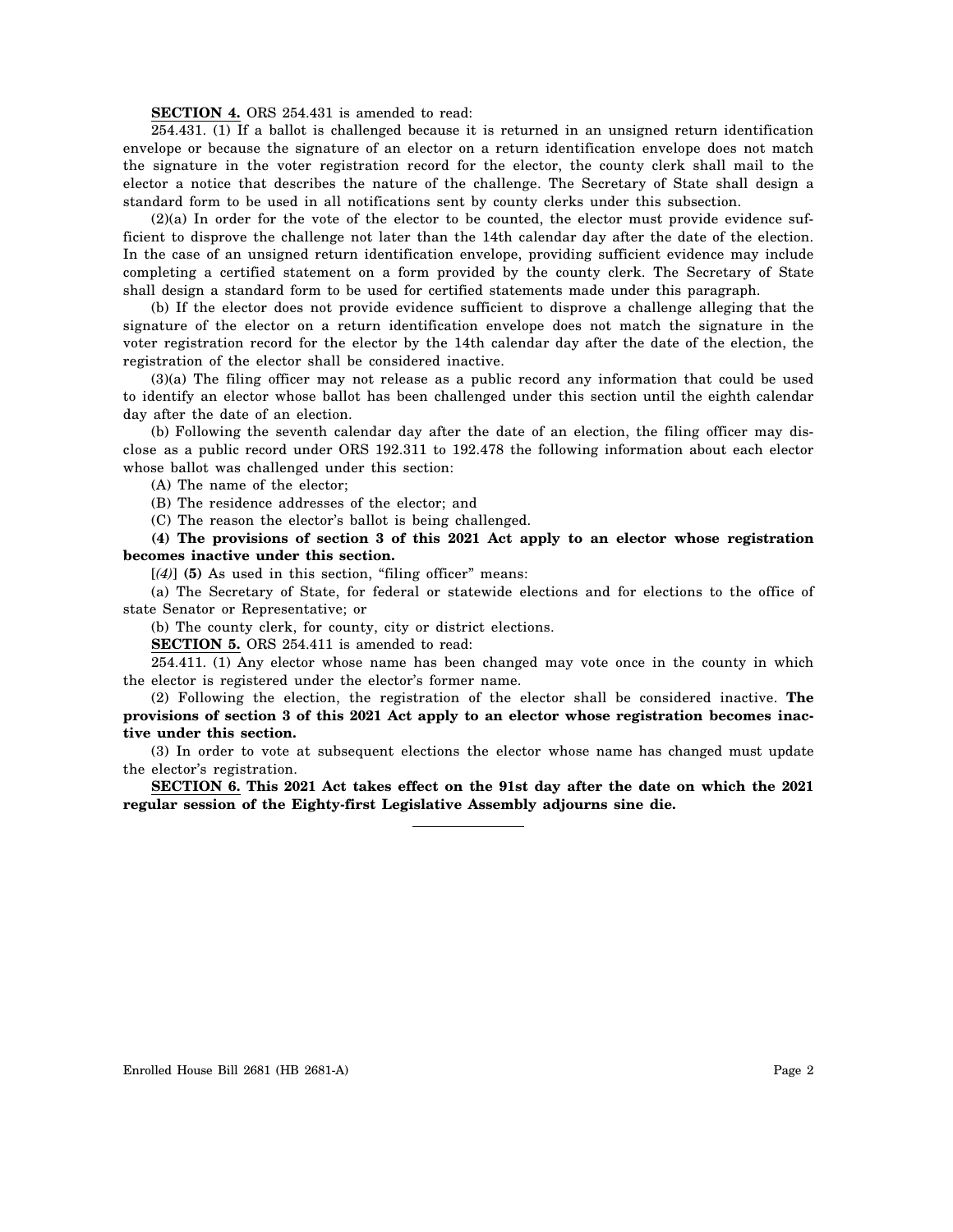**SECTION 4.** ORS 254.431 is amended to read:

254.431. (1) If a ballot is challenged because it is returned in an unsigned return identification envelope or because the signature of an elector on a return identification envelope does not match the signature in the voter registration record for the elector, the county clerk shall mail to the elector a notice that describes the nature of the challenge. The Secretary of State shall design a standard form to be used in all notifications sent by county clerks under this subsection.

(2)(a) In order for the vote of the elector to be counted, the elector must provide evidence sufficient to disprove the challenge not later than the 14th calendar day after the date of the election. In the case of an unsigned return identification envelope, providing sufficient evidence may include completing a certified statement on a form provided by the county clerk. The Secretary of State shall design a standard form to be used for certified statements made under this paragraph.

(b) If the elector does not provide evidence sufficient to disprove a challenge alleging that the signature of the elector on a return identification envelope does not match the signature in the voter registration record for the elector by the 14th calendar day after the date of the election, the registration of the elector shall be considered inactive.

(3)(a) The filing officer may not release as a public record any information that could be used to identify an elector whose ballot has been challenged under this section until the eighth calendar day after the date of an election.

(b) Following the seventh calendar day after the date of an election, the filing officer may disclose as a public record under ORS 192.311 to 192.478 the following information about each elector whose ballot was challenged under this section:

(A) The name of the elector;

(B) The residence addresses of the elector; and

(C) The reason the elector's ballot is being challenged.

**(4) The provisions of section 3 of this 2021 Act apply to an elector whose registration becomes inactive under this section.**

[*(4)*] **(5)** As used in this section, "filing officer" means:

(a) The Secretary of State, for federal or statewide elections and for elections to the office of state Senator or Representative; or

(b) The county clerk, for county, city or district elections.

**SECTION 5.** ORS 254.411 is amended to read:

254.411. (1) Any elector whose name has been changed may vote once in the county in which the elector is registered under the elector's former name.

(2) Following the election, the registration of the elector shall be considered inactive. **The provisions of section 3 of this 2021 Act apply to an elector whose registration becomes inactive under this section.**

(3) In order to vote at subsequent elections the elector whose name has changed must update the elector's registration.

**SECTION 6. This 2021 Act takes effect on the 91st day after the date on which the 2021 regular session of the Eighty-first Legislative Assembly adjourns sine die.**